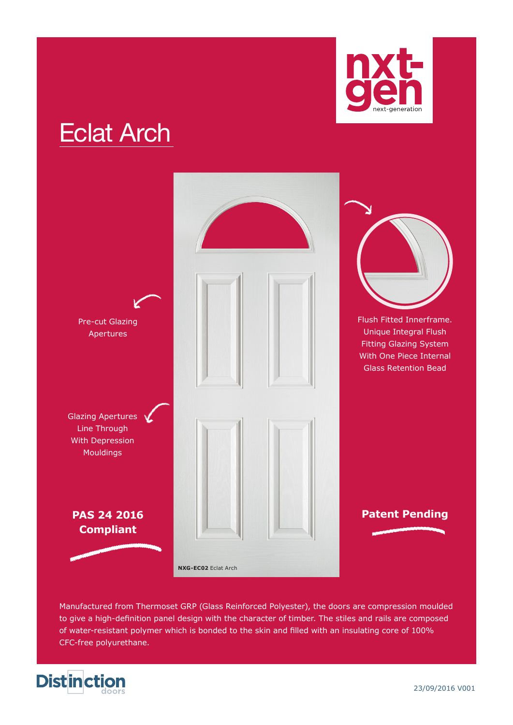

# Eclat Arch



Manufactured from Thermoset GRP (Glass Reinforced Polyester), the doors are compression moulded to give a high-definition panel design with the character of timber. The stiles and rails are composed of water-resistant polymer which is bonded to the skin and filled with an insulating core of 100% CFC-free polyurethane.